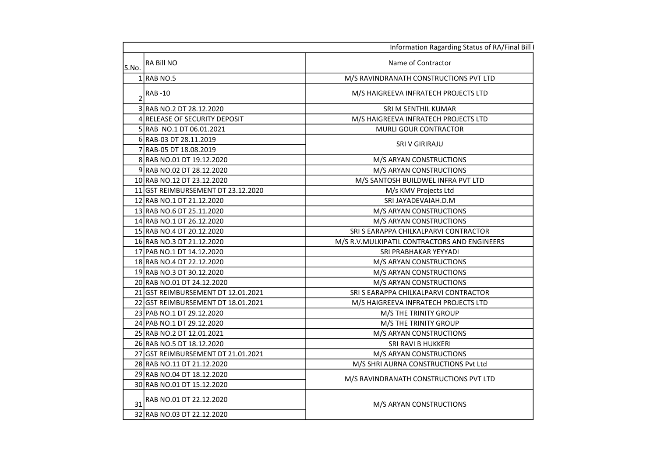|       |                                    | Information Ragarding Status of RA/Final Bill I |
|-------|------------------------------------|-------------------------------------------------|
| S.No. | RA Bill NO                         | Name of Contractor                              |
|       | $1$ RAB NO.5                       | M/S RAVINDRANATH CONSTRUCTIONS PVT LTD          |
|       | <b>RAB-10</b>                      | M/S HAIGREEVA INFRATECH PROJECTS LTD            |
|       | 3 RAB NO.2 DT 28.12.2020           | SRI M SENTHIL KUMAR                             |
|       | 4 RELEASE OF SECURITY DEPOSIT      | M/S HAIGREEVA INFRATECH PROJECTS LTD            |
|       | 5 RAB NO.1 DT 06.01.2021           | <b>MURLI GOUR CONTRACTOR</b>                    |
|       | 6 RAB-03 DT 28.11.2019             | SRI V GIRIRAJU                                  |
|       | 7 RAB-05 DT 18.08.2019             |                                                 |
|       | 8 RAB NO.01 DT 19.12.2020          | M/S ARYAN CONSTRUCTIONS                         |
|       | 9RAB NO.02 DT 28.12.2020           | M/S ARYAN CONSTRUCTIONS                         |
|       | 10 RAB NO.12 DT 23.12.2020         | M/S SANTOSH BUILDWEL INFRA PVT LTD              |
|       | 11 GST REIMBURSEMENT DT 23.12.2020 | M/s KMV Projects Ltd                            |
|       | 12 RAB NO.1 DT 21.12.2020          | SRI JAYADEVAIAH.D.M                             |
|       | 13 RAB NO.6 DT 25.11.2020          | M/S ARYAN CONSTRUCTIONS                         |
|       | 14 RAB NO.1 DT 26.12.2020          | M/S ARYAN CONSTRUCTIONS                         |
|       | 15 RAB NO.4 DT 20.12.2020          | SRI S EARAPPA CHILKALPARVI CONTRACTOR           |
|       | 16 RAB NO.3 DT 21.12.2020          | M/S R.V. MULKIPATIL CONTRACTORS AND ENGINEERS   |
|       | 17 PAB NO.1 DT 14.12.2020          | SRI PRABHAKAR YEYYADI                           |
|       | 18 RAB NO.4 DT 22.12.2020          | M/S ARYAN CONSTRUCTIONS                         |
|       | 19 RAB NO.3 DT 30.12.2020          | M/S ARYAN CONSTRUCTIONS                         |
|       | 20 RAB NO.01 DT 24.12.2020         | M/S ARYAN CONSTRUCTIONS                         |
|       | 21 GST REIMBURSEMENT DT 12.01.2021 | SRI S EARAPPA CHILKALPARVI CONTRACTOR           |
|       | 22 GST REIMBURSEMENT DT 18.01.2021 | M/S HAIGREEVA INFRATECH PROJECTS LTD            |
|       | 23 PAB NO.1 DT 29.12.2020          | M/S THE TRINITY GROUP                           |
|       | 24 PAB NO.1 DT 29.12.2020          | M/S THE TRINITY GROUP                           |
|       | 25 RAB NO.2 DT 12.01.2021          | M/S ARYAN CONSTRUCTIONS                         |
|       | 26 RAB NO.5 DT 18.12.2020          | SRI RAVI B HUKKERI                              |
|       | 27 GST REIMBURSEMENT DT 21.01.2021 | M/S ARYAN CONSTRUCTIONS                         |
|       | 28 RAB NO.11 DT 21.12.2020         | M/S SHRI AURNA CONSTRUCTIONS Pvt Ltd            |
|       | 29 RAB NO.04 DT 18.12.2020         | M/S RAVINDRANATH CONSTRUCTIONS PVT LTD          |
|       | 30 RAB NO.01 DT 15.12.2020         |                                                 |
| 31    | RAB NO.01 DT 22.12.2020            | M/S ARYAN CONSTRUCTIONS                         |
|       | 32 RAB NO.03 DT 22.12.2020         |                                                 |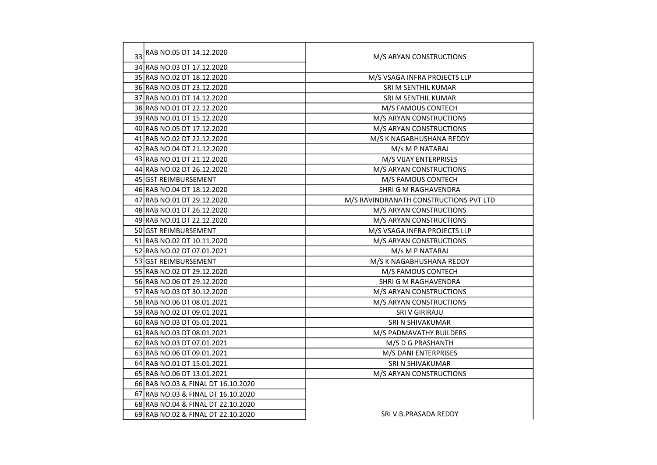| 33 | RAB NO.05 DT 14.12.2020            | M/S ARYAN CONSTRUCTIONS                |  |
|----|------------------------------------|----------------------------------------|--|
|    | 34 RAB NO.03 DT 17.12.2020         |                                        |  |
|    | 35 RAB NO.02 DT 18.12.2020         | M/S VSAGA INFRA PROJECTS LLP           |  |
|    | 36 RAB NO.03 DT 23.12.2020         | SRI M SENTHIL KUMAR                    |  |
|    | 37 RAB NO.01 DT 14.12.2020         | SRI M SENTHIL KUMAR                    |  |
|    | 38 RAB NO.01 DT 22.12.2020         | M/S FAMOUS CONTECH                     |  |
|    | 39 RAB NO.01 DT 15.12.2020         | M/S ARYAN CONSTRUCTIONS                |  |
|    | 40 RAB NO.05 DT 17.12.2020         | M/S ARYAN CONSTRUCTIONS                |  |
|    | 41 RAB NO.02 DT 22.12.2020         | M/S K NAGABHUSHANA REDDY               |  |
|    | 42 RAB NO.04 DT 21.12.2020         | M/s M P NATARAJ                        |  |
|    | 43 RAB NO.01 DT 21.12.2020         | M/S VIJAY ENTERPRISES                  |  |
|    | 44 RAB NO.02 DT 26.12.2020         | M/S ARYAN CONSTRUCTIONS                |  |
|    | 45 GST REIMBURSEMENT               | M/S FAMOUS CONTECH                     |  |
|    | 46 RAB NO.04 DT 18.12.2020         | SHRI G M RAGHAVENDRA                   |  |
|    | 47 RAB NO.01 DT 29.12.2020         | M/S RAVINDRANATH CONSTRUCTIONS PVT LTD |  |
|    | 48 RAB NO.01 DT 26.12.2020         | M/S ARYAN CONSTRUCTIONS                |  |
|    | 49 RAB NO.01 DT 22.12.2020         | M/S ARYAN CONSTRUCTIONS                |  |
|    | 50 GST REIMBURSEMENT               | M/S VSAGA INFRA PROJECTS LLP           |  |
|    | 51 RAB NO.02 DT 10.11.2020         | M/S ARYAN CONSTRUCTIONS                |  |
|    | 52 RAB NO.02 DT 07.01.2021         | M/s M P NATARAJ                        |  |
|    | 53 GST REIMBURSEMENT               | M/S K NAGABHUSHANA REDDY               |  |
|    | 55 RAB NO.02 DT 29.12.2020         | M/S FAMOUS CONTECH                     |  |
|    | 56 RAB NO.06 DT 29.12.2020         | SHRI G M RAGHAVENDRA                   |  |
|    | 57 RAB NO.03 DT 30.12.2020         | M/S ARYAN CONSTRUCTIONS                |  |
|    | 58 RAB NO.06 DT 08.01.2021         | M/S ARYAN CONSTRUCTIONS                |  |
|    | 59 RAB NO.02 DT 09.01.2021         | SRI V GIRIRAJU                         |  |
|    | 60 RAB NO.03 DT 05.01.2021         | SRI N SHIVAKUMAR                       |  |
|    | 61 RAB NO.03 DT 08.01.2021         | M/S PADMAVATHY BUILDERS                |  |
|    | 62 RAB NO.03 DT 07.01.2021         | M/S D G PRASHANTH                      |  |
|    | 63 RAB NO.06 DT 09.01.2021         | M/S DANI ENTERPRISES                   |  |
|    | 64 RAB NO.01 DT 15.01.2021         | SRI N SHIVAKUMAR                       |  |
|    | 65 RAB NO.06 DT 13.01.2021         | M/S ARYAN CONSTRUCTIONS                |  |
|    | 66 RAB NO.03 & FINAL DT 16.10.2020 |                                        |  |
|    | 67 RAB NO.03 & FINAL DT 16.10.2020 |                                        |  |
|    | 68 RAB NO.04 & FINAL DT 22.10.2020 |                                        |  |
|    | 69 RAB NO.02 & FINAL DT 22.10.2020 | SRI V.B.PRASADA REDDY                  |  |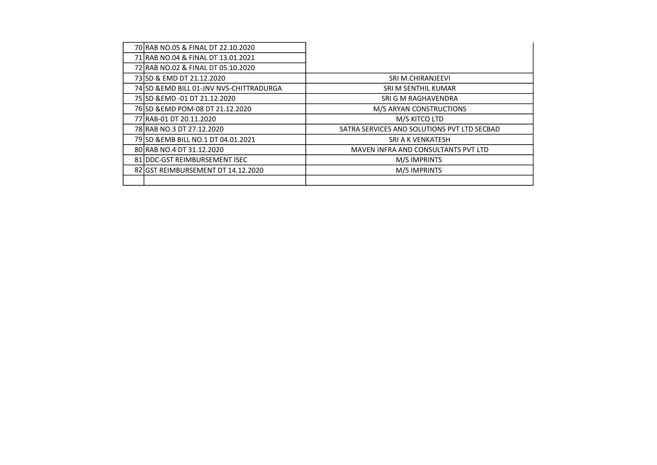| 70 RAB NO.05 & FINAL DT 22.10.2020       |                                             |
|------------------------------------------|---------------------------------------------|
| 71 RAB NO.04 & FINAL DT 13.01.2021       |                                             |
| 72 RAB NO.02 & FINAL DT 05.10.2020       |                                             |
| 73 SD & EMD DT 21.12.2020                | SRI M.CHIRANJEEVI                           |
| 74 SD & EMD BILL 01-JNV NVS-CHITTRADURGA | SRI M SENTHIL KUMAR                         |
| 75 SD & EMD - 01 DT 21.12.2020           | SRI G M RAGHAVENDRA                         |
| 76 SD & EMD POM-08 DT 21.12.2020         | M/S ARYAN CONSTRUCTIONS                     |
| 77 RAB-01 DT 20.11.2020                  | M/S KITCO LTD                               |
| 78 RAB NO.3 DT 27.12.2020                | SATRA SERVICES AND SOLUTIONS PVT LTD SECBAD |
| 79 SD & EMB BILL NO.1 DT 04.01.2021      | SRI A K VENKATESH                           |
| 80 RAB NO.4 DT 31.12.2020                | MAVEN INFRA AND CONSULTANTS PVT LTD         |
| 81 IDDC-GST REIMBURSEMENT ISEC           | M/S IMPRINTS                                |
| 82 GST REIMBURSEMENT DT 14.12.2020       | <b>M/SIMPRINTS</b>                          |
|                                          |                                             |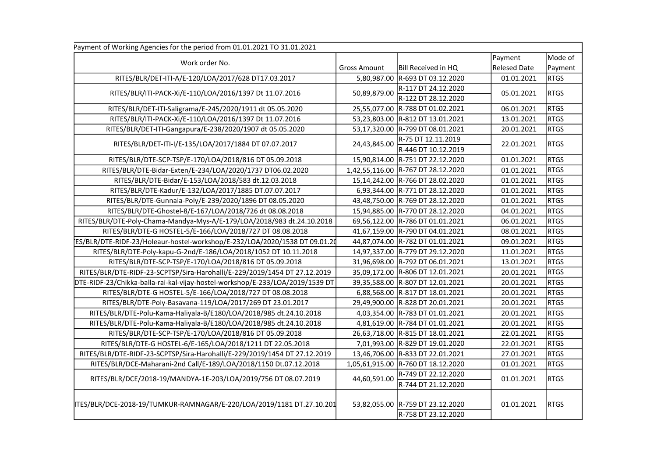| Payment of Working Agencies for the period from 01.01.2021 TO 31.01.2021      |                     |                                           |                     |             |
|-------------------------------------------------------------------------------|---------------------|-------------------------------------------|---------------------|-------------|
| Work order No.                                                                |                     |                                           | Payment             | Mode of     |
|                                                                               | <b>Gross Amount</b> | Bill Received in HQ                       | <b>Relesed Date</b> | Payment     |
| RITES/BLR/DET-ITI-A/E-120/LOA/2017/628 DT17.03.2017                           |                     | 5,80,987.00 R-693 DT 03.12.2020           | 01.01.2021          | <b>RTGS</b> |
| RITES/BLR/ITI-PACK-Xi/E-110/LOA/2016/1397 Dt 11.07.2016                       | 50,89,879.00        | R-117 DT 24.12.2020                       | 05.01.2021          | <b>RTGS</b> |
|                                                                               |                     | R-122 DT 28.12.2020                       |                     |             |
| RITES/BLR/DET-ITI-Saligrama/E-245/2020/1911 dt 05.05.2020                     |                     | 25,55,077.00 R-788 DT 01.02.2021          | 06.01.2021          | <b>RTGS</b> |
| RITES/BLR/ITI-PACK-Xi/E-110/LOA/2016/1397 Dt 11.07.2016                       |                     | 53,23,803.00 R-812 DT 13.01.2021          | 13.01.2021          | <b>RTGS</b> |
| RITES/BLR/DET-ITI-Gangapura/E-238/2020/1907 dt 05.05.2020                     |                     | 53,17,320.00 R-799 DT 08.01.2021          | 20.01.2021          | <b>RTGS</b> |
| RITES/BLR/DET-ITI-I/E-135/LOA/2017/1884 DT 07.07.2017                         | 24,43,845.00        | R-75 DT 12.11.2019<br>R-446 DT 10.12.2019 | 22.01.2021          | <b>RTGS</b> |
| RITES/BLR/DTE-SCP-TSP/E-170/LOA/2018/816 DT 05.09.2018                        |                     | 15,90,814.00 R-751 DT 22.12.2020          | 01.01.2021          | <b>RTGS</b> |
| RITES/BLR/DTE-Bidar-Exten/E-234/LOA/2020/1737 DT06.02.2020                    |                     | 1,42,55,116.00 R-767 DT 28.12.2020        | 01.01.2021          | <b>RTGS</b> |
| RITES/BLR/DTE-Bidar/E-153/LOA/2018/583 dt.12.03.2018                          |                     | 15,14,242.00 R-766 DT 28.02.2020          | 01.01.2021          | <b>RTGS</b> |
| RITES/BLR/DTE-Kadur/E-132/LOA/2017/1885 DT.07.07.2017                         |                     | 6,93,344.00 R-771 DT 28.12.2020           | 01.01.2021          | <b>RTGS</b> |
| RITES/BLR/DTE-Gunnala-Poly/E-239/2020/1896 DT 08.05.2020                      |                     | 43,48,750.00 R-769 DT 28.12.2020          | 01.01.2021          | <b>RTGS</b> |
| RITES/BLR/DTE-Ghostel-8/E-167/LOA/2018/726 dt 08.08.2018                      |                     | 15,94,885.00 R-770 DT 28.12.2020          | 04.01.2021          | <b>RTGS</b> |
| RITES/BLR/DTE-Poly-Chama-Mandya-Mys-A/E-179/LOA/2018/983 dt.24.10.2018        |                     | 69,56,122.00 R-786 DT 01.01.2021          | 06.01.2021          | <b>RTGS</b> |
| RITES/BLR/DTE-G HOSTEL-5/E-166/LOA/2018/727 DT 08.08.2018                     |                     | 41,67,159.00 R-790 DT 04.01.2021          | 08.01.2021          | <b>RTGS</b> |
| ES/BLR/DTE-RIDF-23/Holeaur-hostel-workshop/E-232/LOA/2020/1538 DT 09.01.20    |                     | 44,87,074.00 R-782 DT 01.01.2021          | 09.01.2021          | <b>RTGS</b> |
| RITES/BLR/DTE-Poly-kapu-G-2nd/E-186/LOA/2018/1052 DT 10.11.2018               |                     | 14,97,337.00 R-779 DT 29.12.2020          | 11.01.2021          | <b>RTGS</b> |
| RITES/BLR/DTE-SCP-TSP/E-170/LOA/2018/816 DT 05.09.2018                        |                     | 31,96,698.00 R-792 DT 06.01.2021          | 13.01.2021          | <b>RTGS</b> |
| RITES/BLR/DTE-RIDF-23-SCPTSP/Sira-Harohalli/E-229/2019/1454 DT 27.12.2019     |                     | 35,09,172.00 R-806 DT 12.01.2021          | 20.01.2021          | <b>RTGS</b> |
| DTE-RIDF-23/Chikka-balla-rai-kal-vijay-hostel-workshop/E-233/LOA/2019/1539 DT |                     | 39,35,588.00 R-807 DT 12.01.2021          | 20.01.2021          | <b>RTGS</b> |
| RITES/BLR/DTE-G HOSTEL-5/E-166/LOA/2018/727 DT 08.08.2018                     |                     | 6,88,568.00 R-817 DT 18.01.2021           | 20.01.2021          | <b>RTGS</b> |
| RITES/BLR/DTE-Poly-Basavana-119/LOA/2017/269 DT 23.01.2017                    |                     | 29,49,900.00 R-828 DT 20.01.2021          | 20.01.2021          | <b>RTGS</b> |
| RITES/BLR/DTE-Polu-Kama-Haliyala-B/E180/LOA/2018/985 dt.24.10.2018            |                     | 4,03,354.00 R-783 DT 01.01.2021           | 20.01.2021          | <b>RTGS</b> |
| RITES/BLR/DTE-Polu-Kama-Haliyala-B/E180/LOA/2018/985 dt.24.10.2018            |                     | 4,81,619.00 R-784 DT 01.01.2021           | 20.01.2021          | <b>RTGS</b> |
| RITES/BLR/DTE-SCP-TSP/E-170/LOA/2018/816 DT 05.09.2018                        |                     | 26,63,718.00 R-815 DT 18.01.2021          | 22.01.2021          | <b>RTGS</b> |
| RITES/BLR/DTE-G HOSTEL-6/E-165/LOA/2018/1211 DT 22.05.2018                    |                     | 7,01,993.00 R-829 DT 19.01.2020           | 22.01.2021          | <b>RTGS</b> |
| RITES/BLR/DTE-RIDF-23-SCPTSP/Sira-Harohalli/E-229/2019/1454 DT 27.12.2019     |                     | 13,46,706.00 R-833 DT 22.01.2021          | 27.01.2021          | <b>RTGS</b> |
| RITES/BLR/DCE-Maharani-2nd Call/E-189/LOA/2018/1150 Dt.07.12.2018             |                     | 1,05,61,915.00 R-760 DT 18.12.2020        | 01.01.2021          | <b>RTGS</b> |
|                                                                               |                     | R-749 DT 22.12.2020                       |                     |             |
| RITES/BLR/DCE/2018-19/MANDYA-1E-203/LOA/2019/756 DT 08.07.2019                | 44,60,591.00        | R-744 DT 21.12.2020                       | 01.01.2021          | <b>RTGS</b> |
| ITES/BLR/DCE-2018-19/TUMKUR-RAMNAGAR/E-220/LOA/2019/1181 DT.27.10.201         |                     | 53,82,055.00 R-759 DT 23.12.2020          | 01.01.2021          | <b>RTGS</b> |
|                                                                               |                     | R-758 DT 23.12.2020                       |                     |             |
|                                                                               |                     |                                           |                     |             |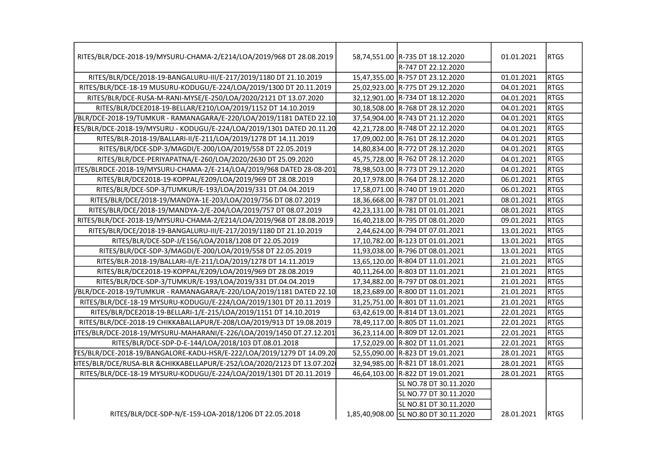| RITES/BLR/DCE-2018-19/MYSURU-CHAMA-2/E214/LOA/2019/968 DT 28.08.2019       | 58,74,551.00 R-735 DT 18.12.2020      | 01.01.2021 | <b>RTGS</b> |
|----------------------------------------------------------------------------|---------------------------------------|------------|-------------|
|                                                                            | R-747 DT 22.12.2020                   |            |             |
| RITES/BLR/DCE/2018-19-BANGALURU-III/E-217/2019/1180 DT 21.10.2019          | 15,47,355.00 R-757 DT 23.12.2020      | 01.01.2021 | <b>RTGS</b> |
| RITES/BLR/DCE-18-19 MUSURU-KODUGU/E-224/LOA/2019/1300 DT 20.11.2019        | 25,02,923.00 R-775 DT 29.12.2020      | 04.01.2021 | <b>RTGS</b> |
| RITES/BLR/DCE-RUSA-M-RANI-MYSE/E-250/LOA/2020/2121 DT 13.07.2020           | 32,12,901.00 R-734 DT 18.12.2020      | 04.01.2021 | <b>RTGS</b> |
| RITES/BLR/DCE2018-19-BELLAR/E210/LOA/2019/1152 DT 14.10.2019               | 30,18,508.00 R-768 DT 28.12.2020      | 04.01.2021 | <b>RTGS</b> |
| /BLR/DCE-2018-19/TUMKUR - RAMANAGARA/E-220/LOA/2019/1181 DATED 22.10       | 37,54,904.00 R-743 DT 21.12.2020      | 04.01.2021 | <b>RTGS</b> |
| FES/BLR/DCE-2018-19/MYSURU - KODUGU/E-224/LOA/2019/1301 DATED 20.11.20     | 42,21,728.00 R-748 DT 22.12.2020      | 04.01.2021 | <b>RTGS</b> |
| RITES/BLR-2018-19/BALLARI-II/E-211/LOA/2019/1278 DT 14.11.2019             | 17,09,002.00 R-761 DT 28.12.2020      | 04.01.2021 | <b>RTGS</b> |
| RITES/BLR/DCE-SDP-3/MAGDI/E-200/LOA/2019/558 DT 22.05.2019                 | 14,80,834.00 R-772 DT 28.12.2020      | 04.01.2021 | <b>RTGS</b> |
| RITES/BLR/DCE-PERIYAPATNA/E-260/LOA/2020/2630 DT 25.09.2020                | 45,75,728.00 R-762 DT 28.12.2020      | 04.01.2021 | <b>RTGS</b> |
| ITES/BLRDCE-2018-19/MYSURU-CHAMA-2/E-214/LOA/2019/968 DATED 28-08-201      | 78,98,503.00 R-773 DT 29.12.2020      | 04.01.2021 | <b>RTGS</b> |
| RITES/BLR/DCE2018-19-KOPPAL/E209/LOA/2019/969 DT 28.08.2019                | 20,17,978.00 R-764 DT 28.12.2020      | 06.01.2021 | <b>RTGS</b> |
| RITES/BLR/DCE-SDP-3/TUMKUR/E-193/LOA/2019/331 DT.04.04.2019                | 17,58,071.00 R-740 DT 19.01.2020      | 06.01.2021 | <b>RTGS</b> |
| RITES/BLR/DCE/2018-19/MANDYA-1E-203/LOA/2019/756 DT 08.07.2019             | 18,36,668.00 R-787 DT 01.01.2021      | 08.01.2021 | <b>RTGS</b> |
| RITES/BLR/DCE/2018-19/MANDYA-2/E-204/LOA/2019/757 DT 08.07.2019            | 42,23,131.00 R-781 DT 01.01.2021      | 08.01.2021 | <b>RTGS</b> |
| RITES/BLR/DCE-2018-19/MYSURU-CHAMA-2/E214/LOA/2019/968 DT 28.08.2019       | 16,40,218.00 R-795 DT 08.01.2020      | 09.01.2021 | <b>RTGS</b> |
| RITES/BLR/DCE/2018-19-BANGALURU-III/E-217/2019/1180 DT 21.10.2019          | 2,44,624.00 R-794 DT 07.01.2021       | 13.01.2021 | <b>RTGS</b> |
| RITES/BLR/DCE-SDP-J/E156/LOA/2018/1208 DT 22.05.2019                       | 17,10,782.00 R-123 DT 01.01.2021      | 13.01.2021 | <b>RTGS</b> |
| RITES/BLR/DCE-SDP-3/MAGDI/E-200/LOA/2019/558 DT 22.05.2019                 | 11,93,038.00 R-796 DT 08.01.2021      | 13.01.2021 | <b>RTGS</b> |
| RITES/BLR-2018-19/BALLARI-II/E-211/LOA/2019/1278 DT 14.11.2019             | 13,65,120.00 R-804 DT 11.01.2021      | 21.01.2021 | <b>RTGS</b> |
| RITES/BLR/DCE2018-19-KOPPAL/E209/LOA/2019/969 DT 28.08.2019                | 40,11,264.00 R-803 DT 11.01.2021      | 21.01.2021 | <b>RTGS</b> |
| RITES/BLR/DCE-SDP-3/TUMKUR/E-193/LOA/2019/331 DT.04.04.2019                | 17,34,882.00 R-797 DT 08.01.2021      | 21.01.2021 | <b>RTGS</b> |
| /BLR/DCE-2018-19/TUMKUR - RAMANAGARA/E-220/LOA/2019/1181 DATED 22.10       | 18,23,689.00 R-800 DT 11.01.2021      | 21.01.2021 | <b>RTGS</b> |
| RITES/BLR/DCE-18-19 MYSURU-KODUGU/E-224/LOA/2019/1301 DT 20.11.2019        | 31,25,751.00 R-801 DT 11.01.2021      | 21.01.2021 | <b>RTGS</b> |
| RITES/BLR/DCE2018-19-BELLARI-1/E-215/LOA/2019/1151 DT 14.10.2019           | 63,42,619.00 R-814 DT 13.01.2021      | 22.01.2021 | <b>RTGS</b> |
| RITES/BLR/DCE-2018-19 CHIKKABALLAPUR/E-208/LOA/2019/913 DT 19.08.2019      | 78,49,117.00 R-805 DT 11.01.2021      | 22.01.2021 | <b>RTGS</b> |
| ITES/BLR/DCE-2018-19/MYSURU-MAHARANI/E-226/LOA/2019/1450 DT.27.12.201      | 36,23,114.00 R-809 DT 12.01.2021      | 22.01.2021 | <b>RTGS</b> |
| RITES/BLR/DCE-SDP-D-E-144/LOA/2018/103 DT.08.01.2018                       | 17,52,029.00 R-802 DT 11.01.2021      | 22.01.2021 | <b>RTGS</b> |
| 09.20_714.09.20_TES/BLR/DCE-2018-19/BANGALORE-KADU-HSR/E-222/LOA/2019/1279 | 52,55,090.00 R-823 DT 19.01.2021      | 28.01.2021 | <b>RTGS</b> |
| ITES/BLR/DCE/RUSA-BLR &CHIKKABELLAPUR/E-252/LOA/2020/2123 DT 13.07.202     | 32,94,985.00 R-821 DT 18.01.2021      | 28.01.2021 | <b>RTGS</b> |
| RITES/BLR/DCE-18-19 MYSURU-KODUGU/E-224/LOA/2019/1301 DT 20.11.2019        | 46,64,103.00 R-822 DT 19.01.2021      | 28.01.2021 | <b>RTGS</b> |
|                                                                            | SL NO.78 DT 30.11.2020                |            |             |
|                                                                            | SL NO.77 DT 30.11.2020                |            |             |
|                                                                            | SL NO.81 DT 30.11.2020                |            |             |
| RITES/BLR/DCE-SDP-N/E-159-LOA-2018/1206 DT 22.05.2018                      | 1,85,40,908.00 SL NO.80 DT 30.11.2020 | 28.01.2021 | <b>RTGS</b> |